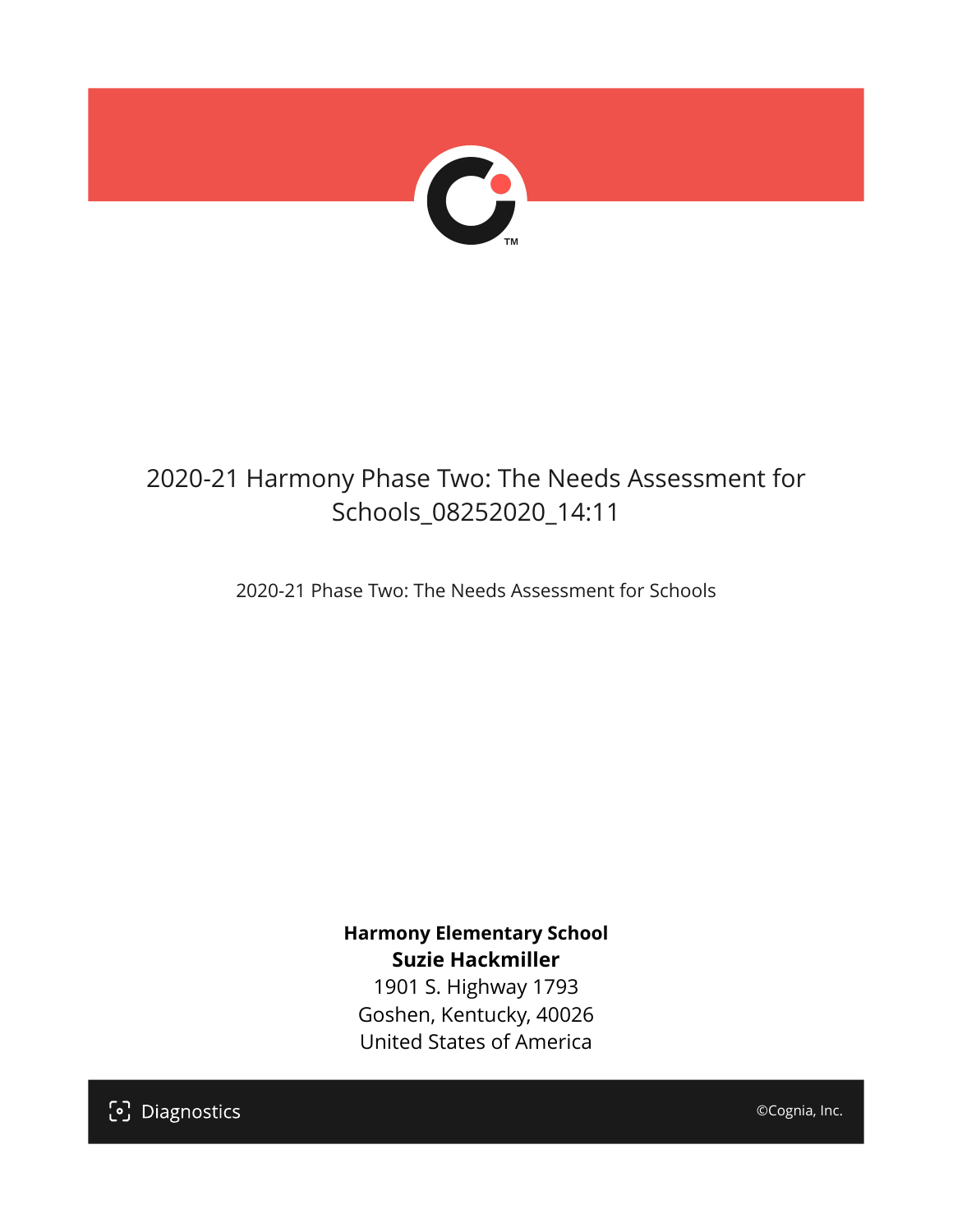

## 2020-21 Harmony Phase Two: The Needs Assessment for Schools\_08252020\_14:11

2020-21 Phase Two: The Needs Assessment for Schools

**Harmony Elementary School Suzie Hackmiller**

1901 S. Highway 1793 Goshen, Kentucky, 40026 United States of America

[၁] Diagnostics

©Cognia, Inc.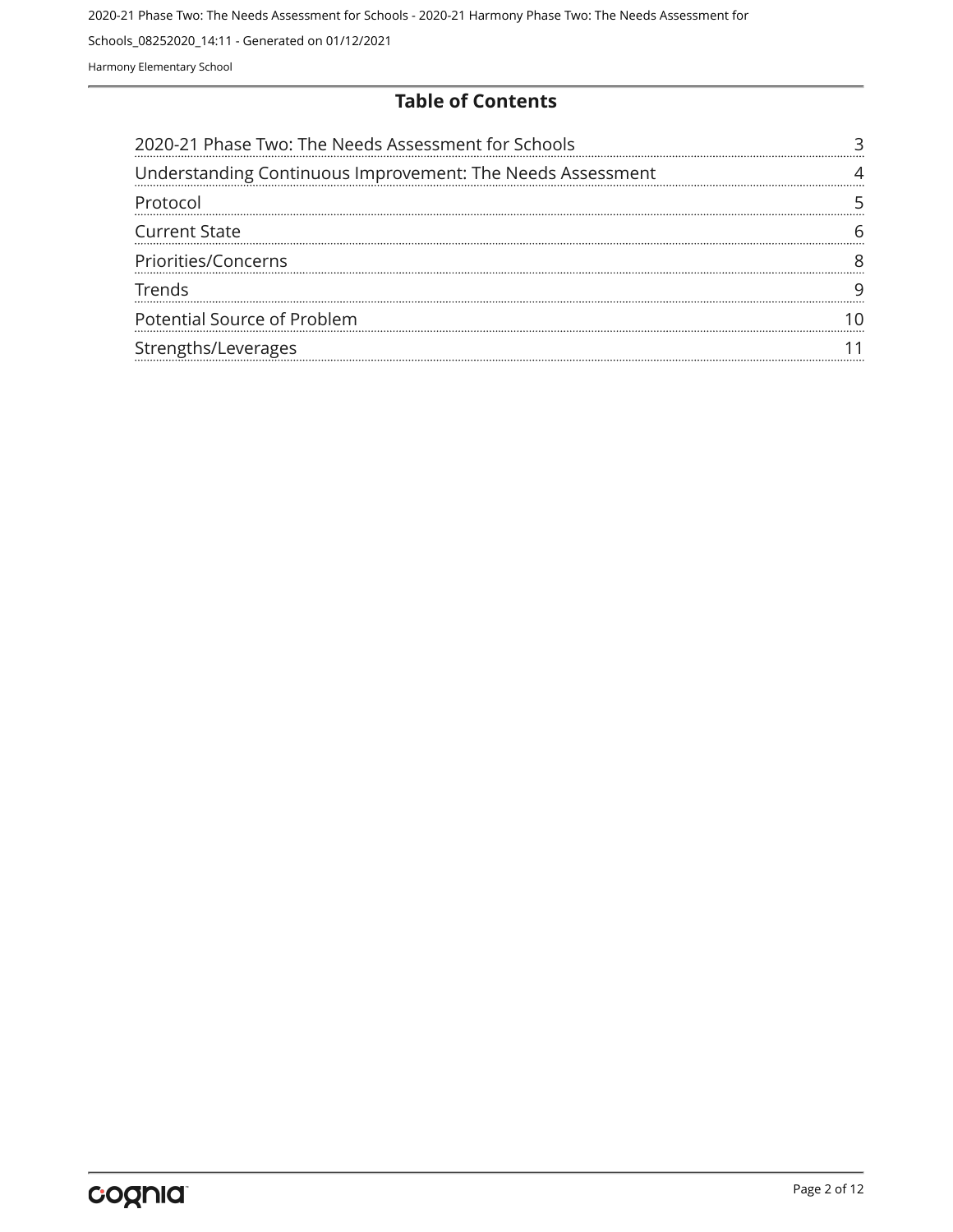#### **Table of Contents**

| 2020-21 Phase Two: The Needs Assessment for Schools        |  |
|------------------------------------------------------------|--|
| Understanding Continuous Improvement: The Needs Assessment |  |
| Protocol                                                   |  |
| <b>Current State</b>                                       |  |
| Priorities/Concerns                                        |  |
| Trends                                                     |  |
| Potential Source of Problem                                |  |
| Strengths/Leverages                                        |  |
|                                                            |  |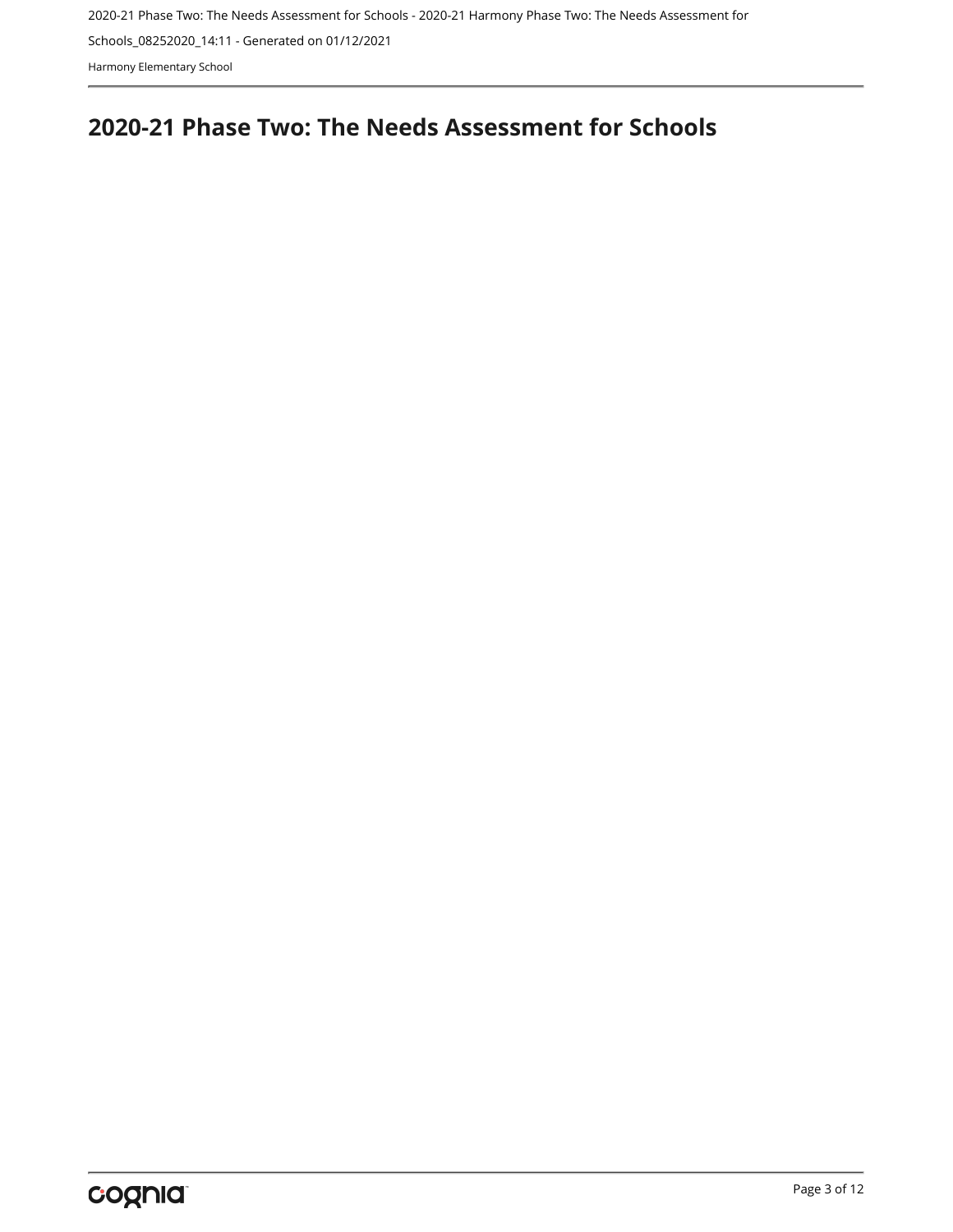Harmony Elementary School

## <span id="page-2-0"></span>**2020-21 Phase Two: The Needs Assessment for Schools**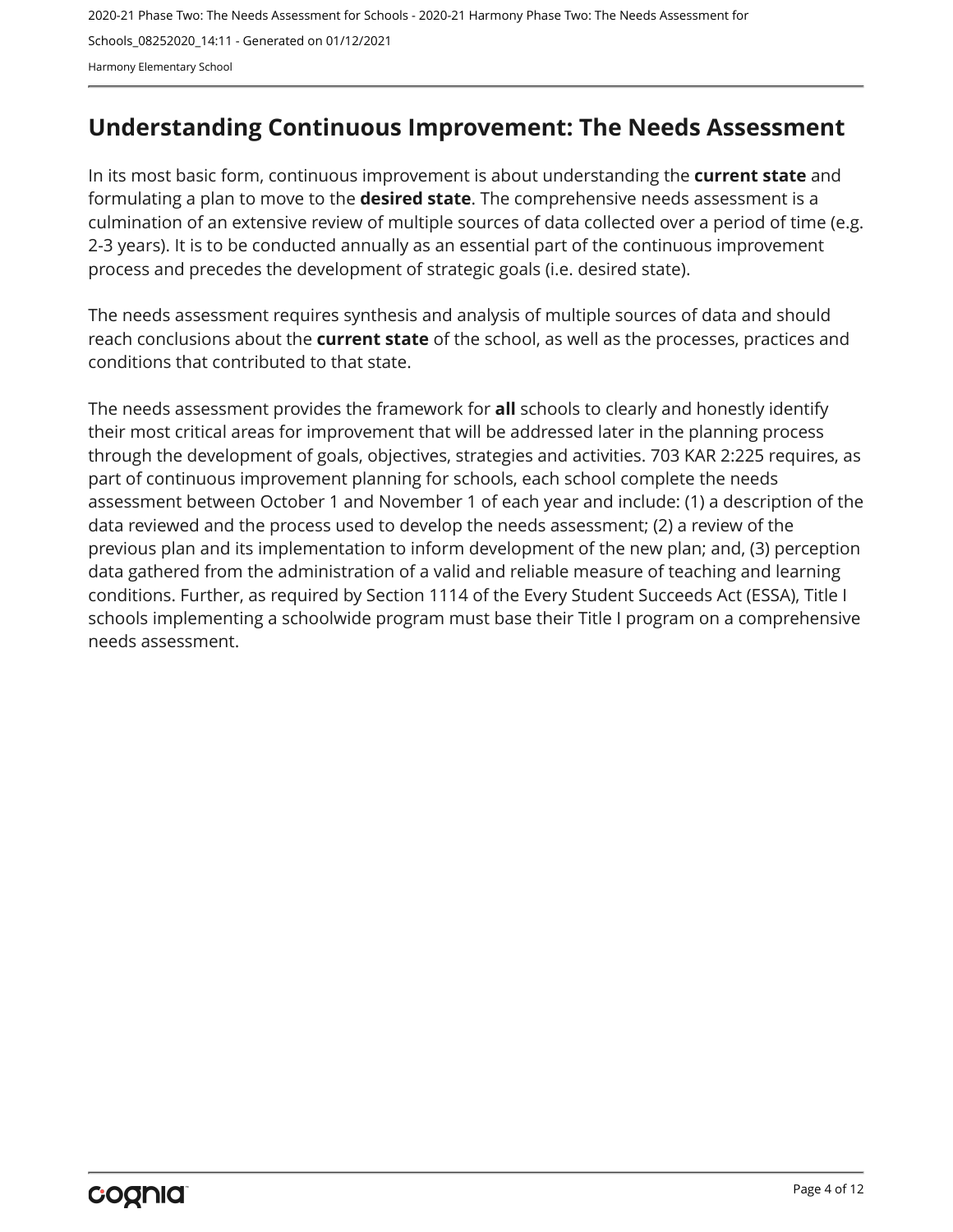## <span id="page-3-0"></span>**Understanding Continuous Improvement: The Needs Assessment**

In its most basic form, continuous improvement is about understanding the **current state** and formulating a plan to move to the **desired state**. The comprehensive needs assessment is a culmination of an extensive review of multiple sources of data collected over a period of time (e.g. 2-3 years). It is to be conducted annually as an essential part of the continuous improvement process and precedes the development of strategic goals (i.e. desired state).

The needs assessment requires synthesis and analysis of multiple sources of data and should reach conclusions about the **current state** of the school, as well as the processes, practices and conditions that contributed to that state.

The needs assessment provides the framework for **all** schools to clearly and honestly identify their most critical areas for improvement that will be addressed later in the planning process through the development of goals, objectives, strategies and activities. 703 KAR 2:225 requires, as part of continuous improvement planning for schools, each school complete the needs assessment between October 1 and November 1 of each year and include: (1) a description of the data reviewed and the process used to develop the needs assessment; (2) a review of the previous plan and its implementation to inform development of the new plan; and, (3) perception data gathered from the administration of a valid and reliable measure of teaching and learning conditions. Further, as required by Section 1114 of the Every Student Succeeds Act (ESSA), Title I schools implementing a schoolwide program must base their Title I program on a comprehensive needs assessment.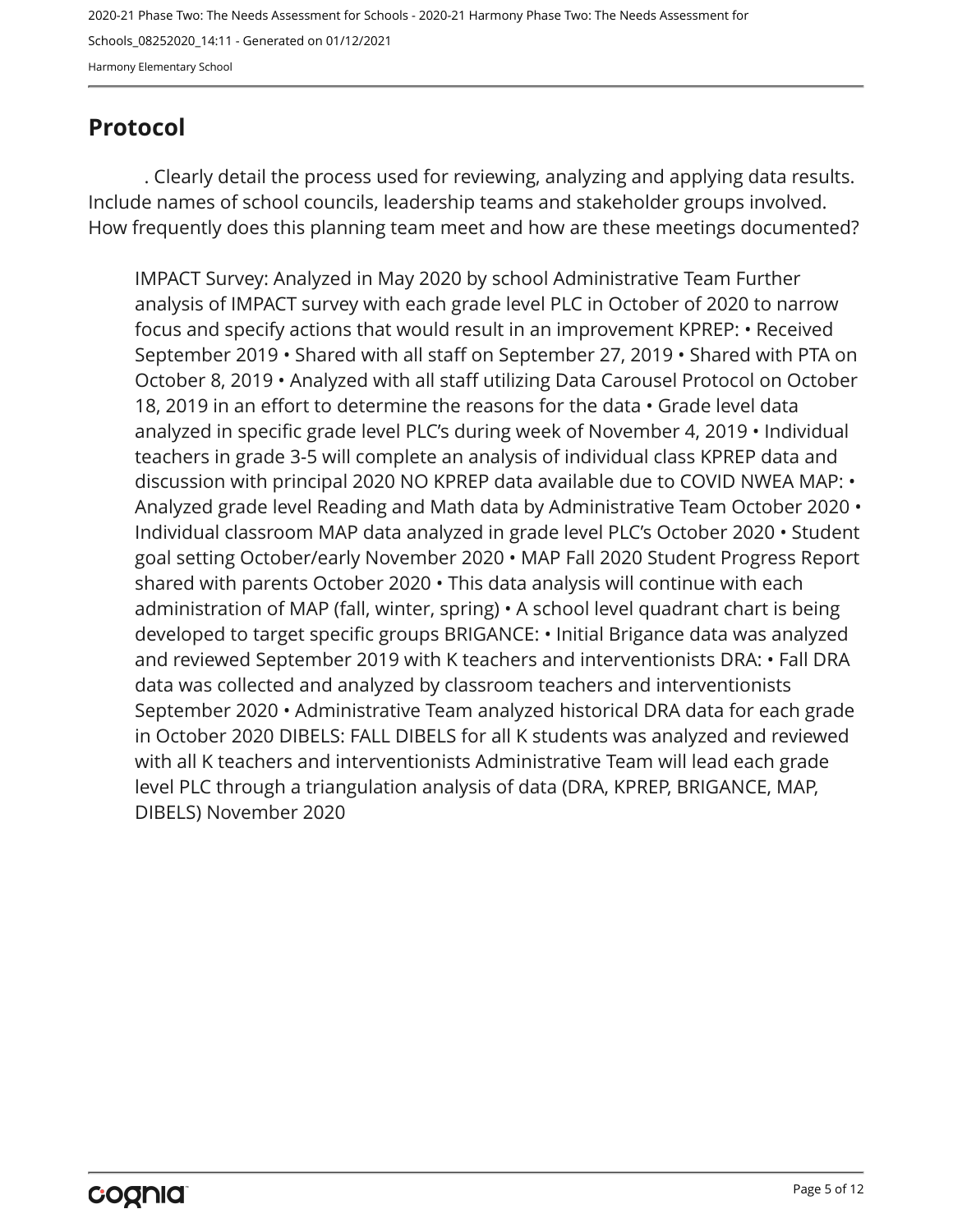## <span id="page-4-0"></span>**Protocol**

. Clearly detail the process used for reviewing, analyzing and applying data results. Include names of school councils, leadership teams and stakeholder groups involved. How frequently does this planning team meet and how are these meetings documented?

IMPACT Survey: Analyzed in May 2020 by school Administrative Team Further analysis of IMPACT survey with each grade level PLC in October of 2020 to narrow focus and specify actions that would result in an improvement KPREP: • Received September 2019 • Shared with all staff on September 27, 2019 • Shared with PTA on October 8, 2019 • Analyzed with all staff utilizing Data Carousel Protocol on October 18, 2019 in an effort to determine the reasons for the data • Grade level data analyzed in specific grade level PLC's during week of November 4, 2019 • Individual teachers in grade 3-5 will complete an analysis of individual class KPREP data and discussion with principal 2020 NO KPREP data available due to COVID NWEA MAP: • Analyzed grade level Reading and Math data by Administrative Team October 2020 • Individual classroom MAP data analyzed in grade level PLC's October 2020 • Student goal setting October/early November 2020 • MAP Fall 2020 Student Progress Report shared with parents October 2020 • This data analysis will continue with each administration of MAP (fall, winter, spring) • A school level quadrant chart is being developed to target specific groups BRIGANCE: • Initial Brigance data was analyzed and reviewed September 2019 with K teachers and interventionists DRA: • Fall DRA data was collected and analyzed by classroom teachers and interventionists September 2020 • Administrative Team analyzed historical DRA data for each grade in October 2020 DIBELS: FALL DIBELS for all K students was analyzed and reviewed with all K teachers and interventionists Administrative Team will lead each grade level PLC through a triangulation analysis of data (DRA, KPREP, BRIGANCE, MAP, DIBELS) November 2020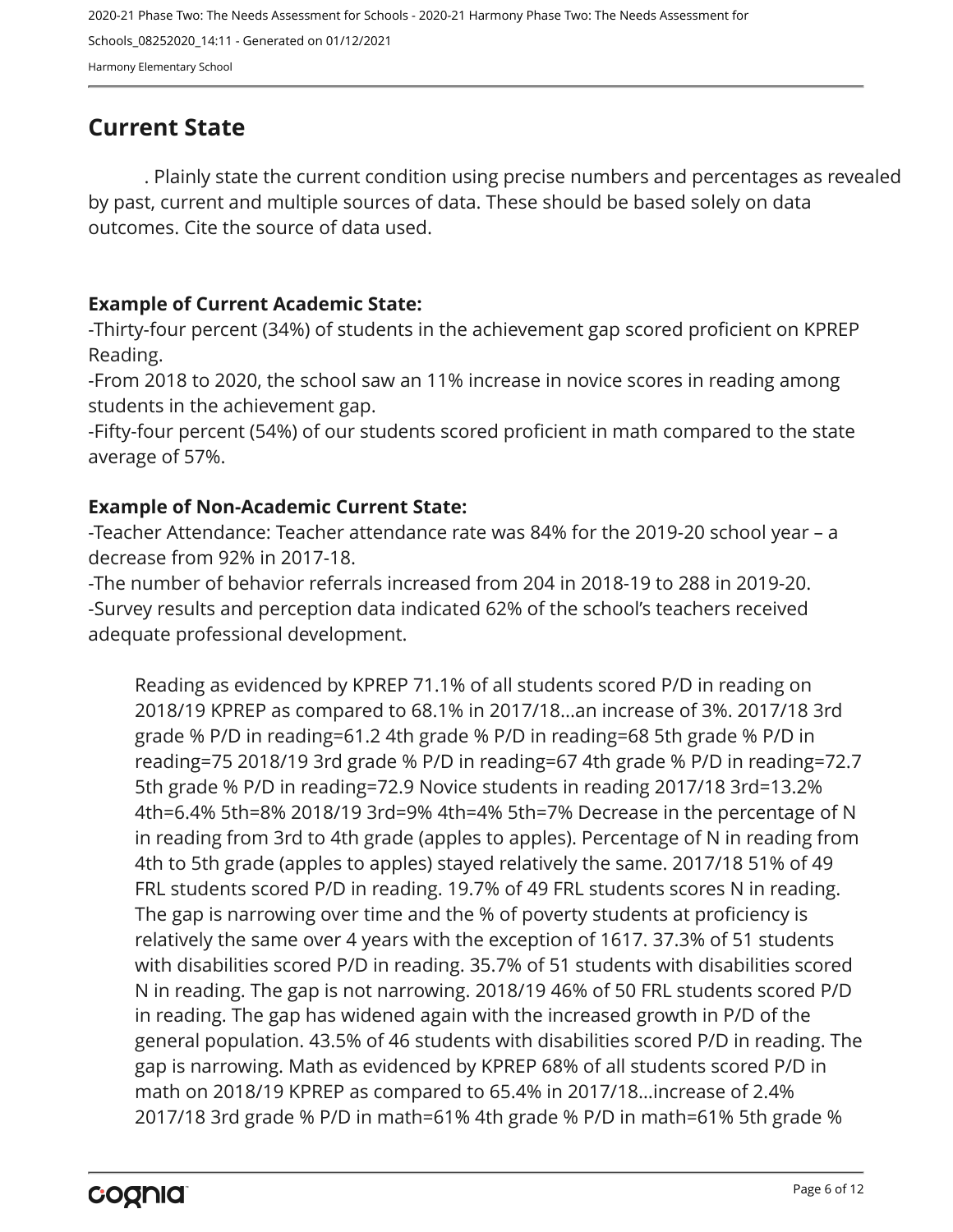## <span id="page-5-0"></span>**Current State**

. Plainly state the current condition using precise numbers and percentages as revealed by past, current and multiple sources of data. These should be based solely on data outcomes. Cite the source of data used.

#### **Example of Current Academic State:**

-Thirty-four percent (34%) of students in the achievement gap scored proficient on KPREP Reading.

-From 2018 to 2020, the school saw an 11% increase in novice scores in reading among students in the achievement gap.

-Fifty-four percent (54%) of our students scored proficient in math compared to the state average of 57%.

#### **Example of Non-Academic Current State:**

-Teacher Attendance: Teacher attendance rate was 84% for the 2019-20 school year – a decrease from 92% in 2017-18.

-The number of behavior referrals increased from 204 in 2018-19 to 288 in 2019-20. -Survey results and perception data indicated 62% of the school's teachers received adequate professional development.

Reading as evidenced by KPREP 71.1% of all students scored P/D in reading on 2018/19 KPREP as compared to 68.1% in 2017/18...an increase of 3%. 2017/18 3rd grade % P/D in reading=61.2 4th grade % P/D in reading=68 5th grade % P/D in reading=75 2018/19 3rd grade % P/D in reading=67 4th grade % P/D in reading=72.7 5th grade % P/D in reading=72.9 Novice students in reading 2017/18 3rd=13.2% 4th=6.4% 5th=8% 2018/19 3rd=9% 4th=4% 5th=7% Decrease in the percentage of N in reading from 3rd to 4th grade (apples to apples). Percentage of N in reading from 4th to 5th grade (apples to apples) stayed relatively the same. 2017/18 51% of 49 FRL students scored P/D in reading. 19.7% of 49 FRL students scores N in reading. The gap is narrowing over time and the % of poverty students at proficiency is relatively the same over 4 years with the exception of 1617. 37.3% of 51 students with disabilities scored P/D in reading. 35.7% of 51 students with disabilities scored N in reading. The gap is not narrowing. 2018/19 46% of 50 FRL students scored P/D in reading. The gap has widened again with the increased growth in P/D of the general population. 43.5% of 46 students with disabilities scored P/D in reading. The gap is narrowing. Math as evidenced by KPREP 68% of all students scored P/D in math on 2018/19 KPREP as compared to 65.4% in 2017/18…increase of 2.4% 2017/18 3rd grade % P/D in math=61% 4th grade % P/D in math=61% 5th grade %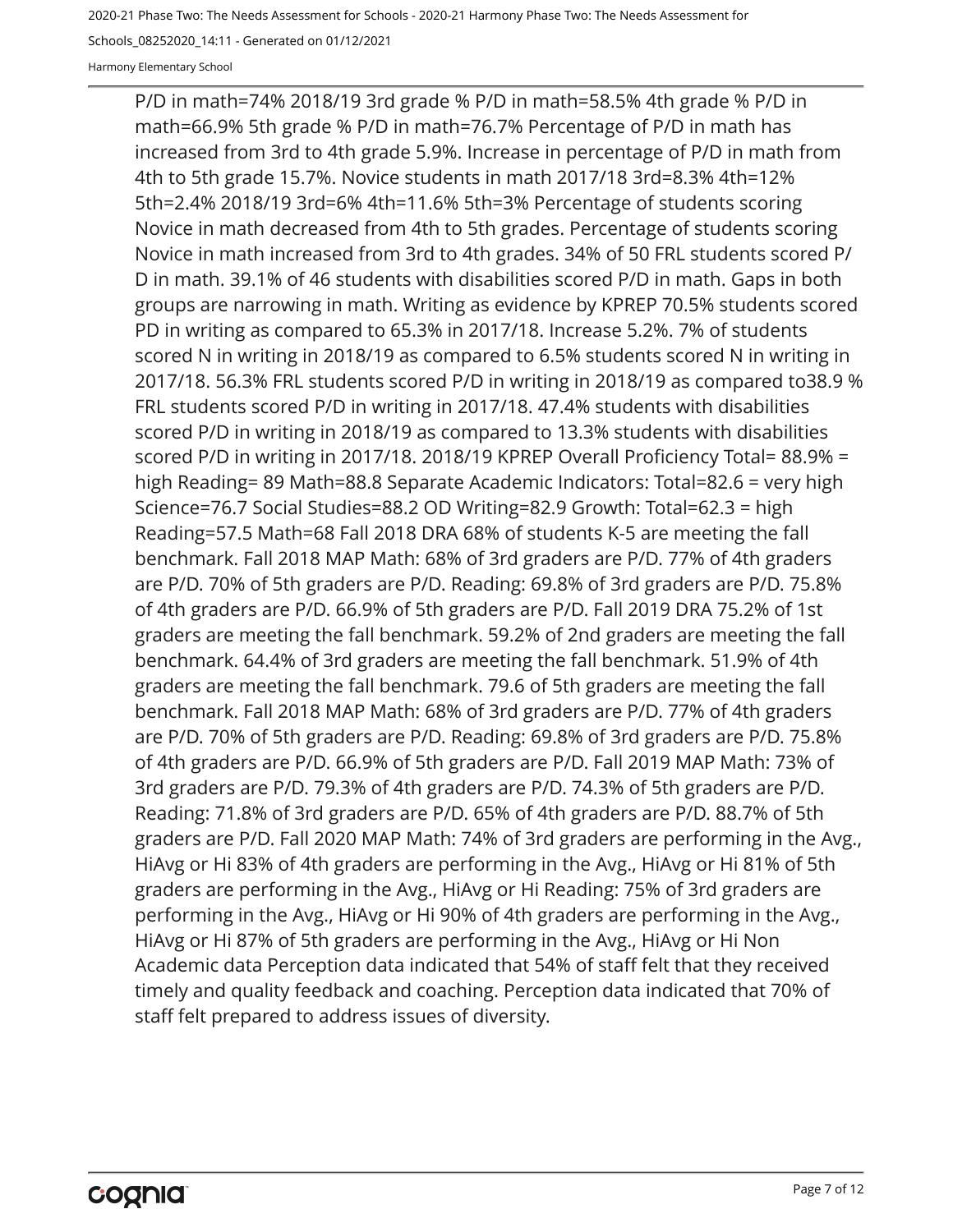2020-21 Phase Two: The Needs Assessment for Schools - 2020-21 Harmony Phase Two: The Needs Assessment for

Schools\_08252020\_14:11 - Generated on 01/12/2021

Harmony Elementary School

P/D in math=74% 2018/19 3rd grade % P/D in math=58.5% 4th grade % P/D in math=66.9% 5th grade % P/D in math=76.7% Percentage of P/D in math has increased from 3rd to 4th grade 5.9%. Increase in percentage of P/D in math from 4th to 5th grade 15.7%. Novice students in math 2017/18 3rd=8.3% 4th=12% 5th=2.4% 2018/19 3rd=6% 4th=11.6% 5th=3% Percentage of students scoring Novice in math decreased from 4th to 5th grades. Percentage of students scoring Novice in math increased from 3rd to 4th grades. 34% of 50 FRL students scored P/ D in math. 39.1% of 46 students with disabilities scored P/D in math. Gaps in both groups are narrowing in math. Writing as evidence by KPREP 70.5% students scored PD in writing as compared to 65.3% in 2017/18. Increase 5.2%. 7% of students scored N in writing in 2018/19 as compared to 6.5% students scored N in writing in 2017/18. 56.3% FRL students scored P/D in writing in 2018/19 as compared to38.9 % FRL students scored P/D in writing in 2017/18. 47.4% students with disabilities scored P/D in writing in 2018/19 as compared to 13.3% students with disabilities scored P/D in writing in 2017/18. 2018/19 KPREP Overall Proficiency Total= 88.9% = high Reading= 89 Math=88.8 Separate Academic Indicators: Total=82.6 = very high Science=76.7 Social Studies=88.2 OD Writing=82.9 Growth: Total=62.3 = high Reading=57.5 Math=68 Fall 2018 DRA 68% of students K-5 are meeting the fall benchmark. Fall 2018 MAP Math: 68% of 3rd graders are P/D. 77% of 4th graders are P/D. 70% of 5th graders are P/D. Reading: 69.8% of 3rd graders are P/D. 75.8% of 4th graders are P/D. 66.9% of 5th graders are P/D. Fall 2019 DRA 75.2% of 1st graders are meeting the fall benchmark. 59.2% of 2nd graders are meeting the fall benchmark. 64.4% of 3rd graders are meeting the fall benchmark. 51.9% of 4th graders are meeting the fall benchmark. 79.6 of 5th graders are meeting the fall benchmark. Fall 2018 MAP Math: 68% of 3rd graders are P/D. 77% of 4th graders are P/D. 70% of 5th graders are P/D. Reading: 69.8% of 3rd graders are P/D. 75.8% of 4th graders are P/D. 66.9% of 5th graders are P/D. Fall 2019 MAP Math: 73% of 3rd graders are P/D. 79.3% of 4th graders are P/D. 74.3% of 5th graders are P/D. Reading: 71.8% of 3rd graders are P/D. 65% of 4th graders are P/D. 88.7% of 5th graders are P/D. Fall 2020 MAP Math: 74% of 3rd graders are performing in the Avg., HiAvg or Hi 83% of 4th graders are performing in the Avg., HiAvg or Hi 81% of 5th graders are performing in the Avg., HiAvg or Hi Reading: 75% of 3rd graders are performing in the Avg., HiAvg or Hi 90% of 4th graders are performing in the Avg., HiAvg or Hi 87% of 5th graders are performing in the Avg., HiAvg or Hi Non Academic data Perception data indicated that 54% of staff felt that they received timely and quality feedback and coaching. Perception data indicated that 70% of staff felt prepared to address issues of diversity.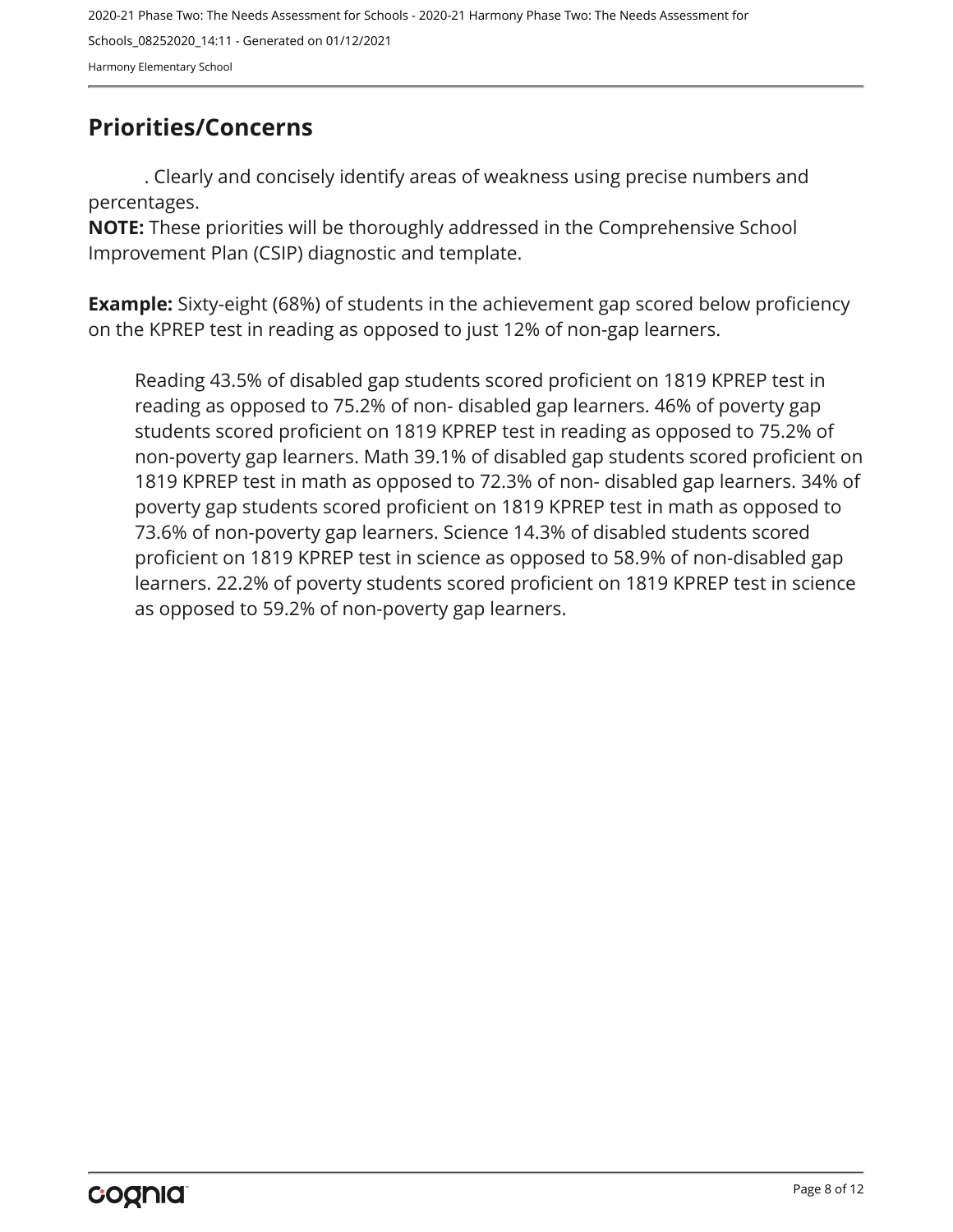## <span id="page-7-0"></span>**Priorities/Concerns**

. Clearly and concisely identify areas of weakness using precise numbers and percentages.

**NOTE:** These priorities will be thoroughly addressed in the Comprehensive School Improvement Plan (CSIP) diagnostic and template.

**Example:** Sixty-eight (68%) of students in the achievement gap scored below proficiency on the KPREP test in reading as opposed to just 12% of non-gap learners.

Reading 43.5% of disabled gap students scored proficient on 1819 KPREP test in reading as opposed to 75.2% of non- disabled gap learners. 46% of poverty gap students scored proficient on 1819 KPREP test in reading as opposed to 75.2% of non-poverty gap learners. Math 39.1% of disabled gap students scored proficient on 1819 KPREP test in math as opposed to 72.3% of non- disabled gap learners. 34% of poverty gap students scored proficient on 1819 KPREP test in math as opposed to 73.6% of non-poverty gap learners. Science 14.3% of disabled students scored proficient on 1819 KPREP test in science as opposed to 58.9% of non-disabled gap learners. 22.2% of poverty students scored proficient on 1819 KPREP test in science as opposed to 59.2% of non-poverty gap learners.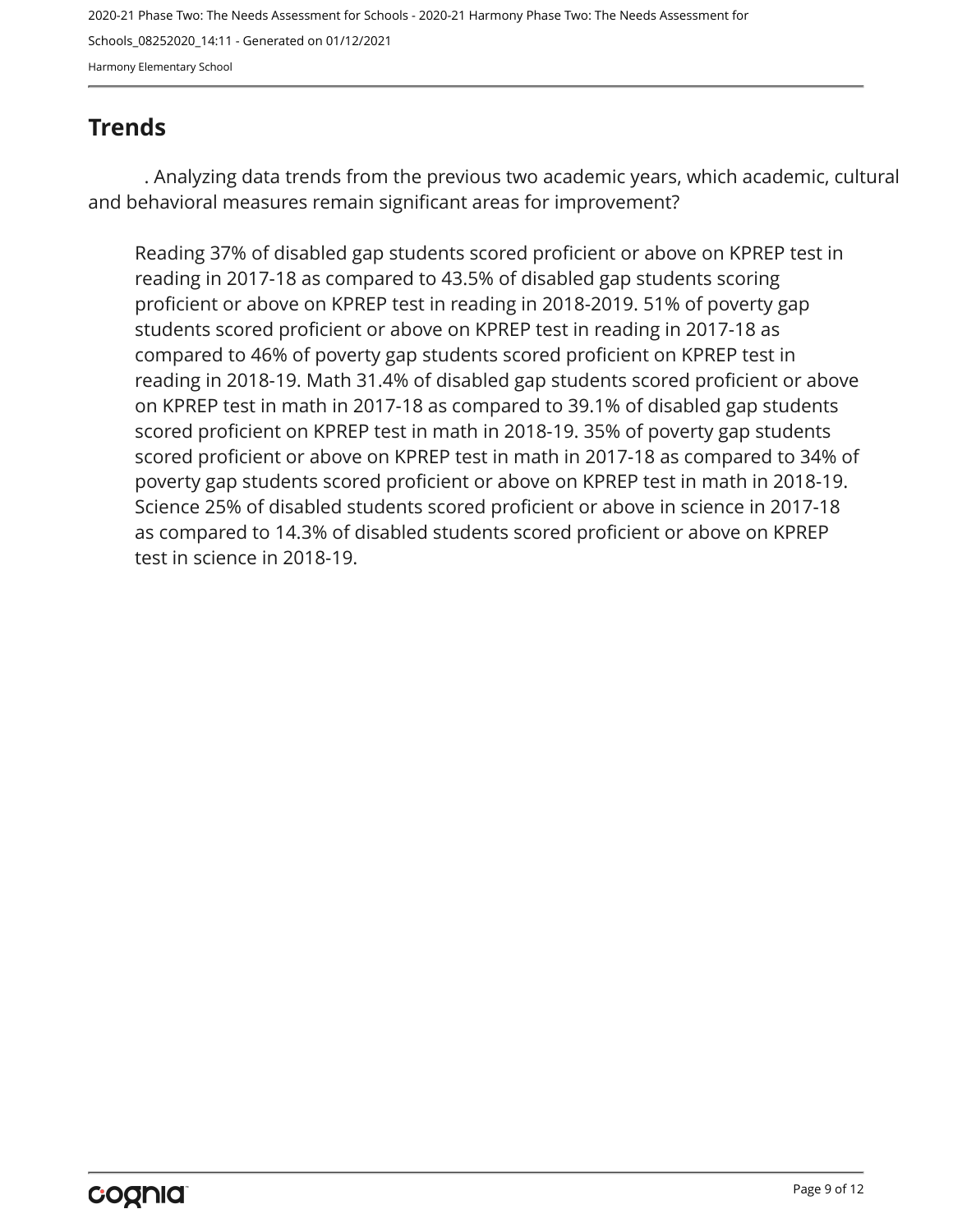## <span id="page-8-0"></span>**Trends**

. Analyzing data trends from the previous two academic years, which academic, cultural and behavioral measures remain significant areas for improvement?

Reading 37% of disabled gap students scored proficient or above on KPREP test in reading in 2017-18 as compared to 43.5% of disabled gap students scoring proficient or above on KPREP test in reading in 2018-2019. 51% of poverty gap students scored proficient or above on KPREP test in reading in 2017-18 as compared to 46% of poverty gap students scored proficient on KPREP test in reading in 2018-19. Math 31.4% of disabled gap students scored proficient or above on KPREP test in math in 2017-18 as compared to 39.1% of disabled gap students scored proficient on KPREP test in math in 2018-19. 35% of poverty gap students scored proficient or above on KPREP test in math in 2017-18 as compared to 34% of poverty gap students scored proficient or above on KPREP test in math in 2018-19. Science 25% of disabled students scored proficient or above in science in 2017-18 as compared to 14.3% of disabled students scored proficient or above on KPREP test in science in 2018-19.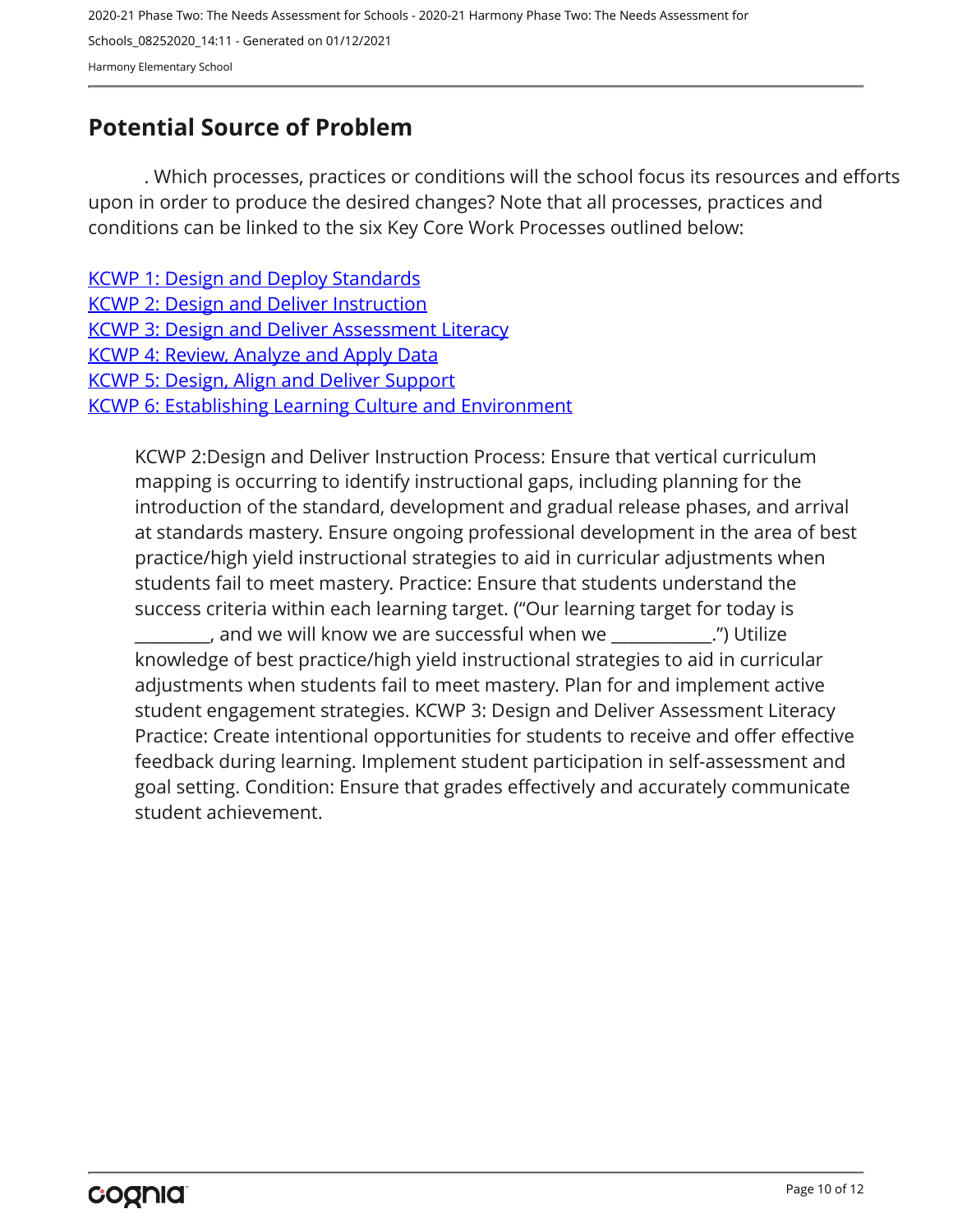## <span id="page-9-0"></span>**Potential Source of Problem**

. Which processes, practices or conditions will the school focus its resources and efforts upon in order to produce the desired changes? Note that all processes, practices and conditions can be linked to the six Key Core Work Processes outlined below:

| <b>KCWP 1: Design and Deploy Standards</b>                   |
|--------------------------------------------------------------|
| <b>KCWP 2: Design and Deliver Instruction</b>                |
| <b>KCWP 3: Design and Deliver Assessment Literacy</b>        |
| <b>KCWP 4: Review, Analyze and Apply Data</b>                |
| <b>KCWP 5: Design, Align and Deliver Support</b>             |
| <b>KCWP 6: Establishing Learning Culture and Environment</b> |
|                                                              |

KCWP 2:Design and Deliver Instruction Process: Ensure that vertical curriculum mapping is occurring to identify instructional gaps, including planning for the introduction of the standard, development and gradual release phases, and arrival at standards mastery. Ensure ongoing professional development in the area of best practice/high yield instructional strategies to aid in curricular adjustments when students fail to meet mastery. Practice: Ensure that students understand the success criteria within each learning target. ("Our learning target for today is , and we will know we are successful when we  $\hspace{2cm}$ .") Utilize

knowledge of best practice/high yield instructional strategies to aid in curricular adjustments when students fail to meet mastery. Plan for and implement active student engagement strategies. KCWP 3: Design and Deliver Assessment Literacy Practice: Create intentional opportunities for students to receive and offer effective feedback during learning. Implement student participation in self-assessment and goal setting. Condition: Ensure that grades effectively and accurately communicate student achievement.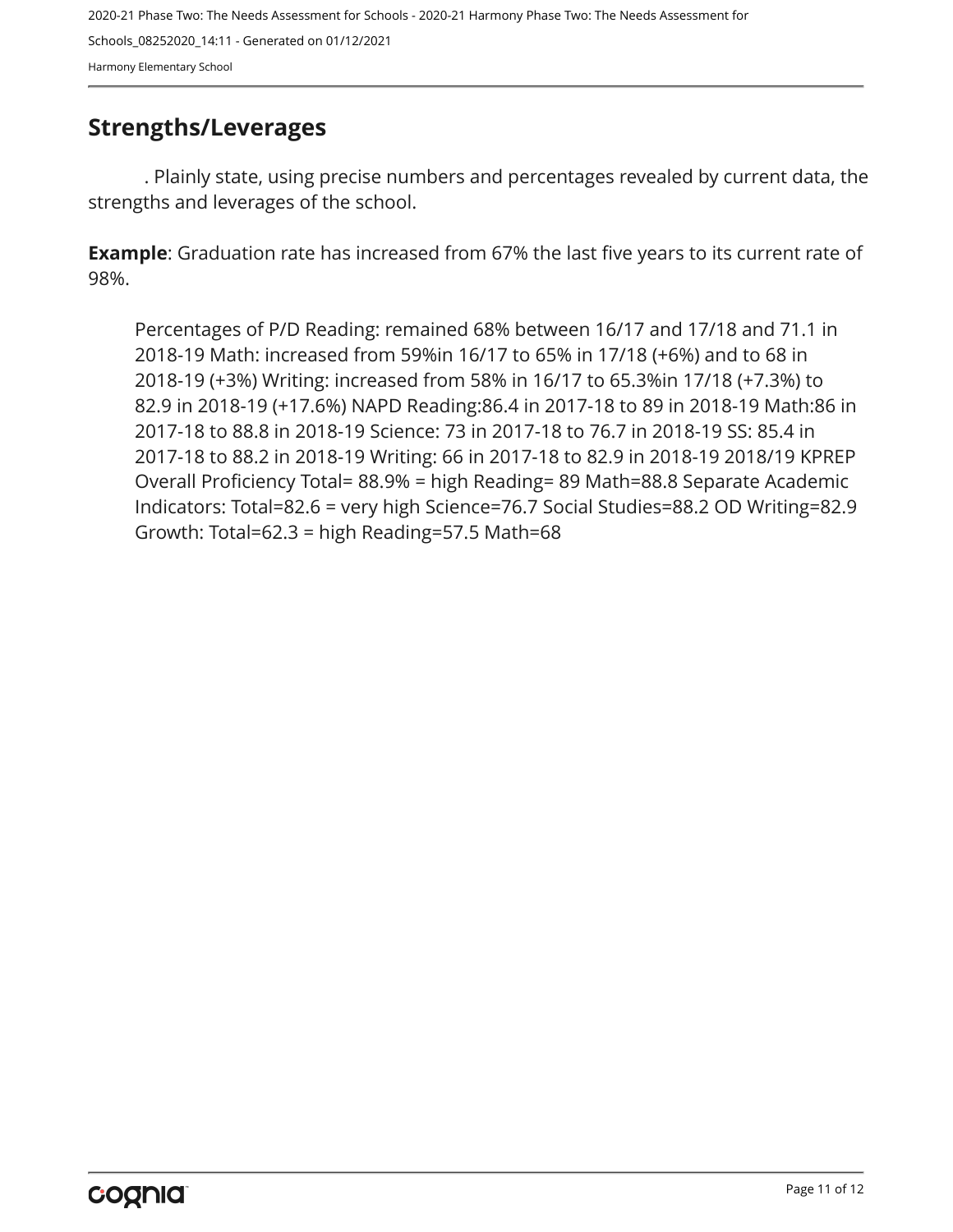### <span id="page-10-0"></span>**Strengths/Leverages**

. Plainly state, using precise numbers and percentages revealed by current data, the strengths and leverages of the school.

**Example**: Graduation rate has increased from 67% the last five years to its current rate of 98%.

Percentages of P/D Reading: remained 68% between 16/17 and 17/18 and 71.1 in 2018-19 Math: increased from 59%in 16/17 to 65% in 17/18 (+6%) and to 68 in 2018-19 (+3%) Writing: increased from 58% in 16/17 to 65.3%in 17/18 (+7.3%) to 82.9 in 2018-19 (+17.6%) NAPD Reading:86.4 in 2017-18 to 89 in 2018-19 Math:86 in 2017-18 to 88.8 in 2018-19 Science: 73 in 2017-18 to 76.7 in 2018-19 SS: 85.4 in 2017-18 to 88.2 in 2018-19 Writing: 66 in 2017-18 to 82.9 in 2018-19 2018/19 KPREP Overall Proficiency Total= 88.9% = high Reading= 89 Math=88.8 Separate Academic Indicators: Total=82.6 = very high Science=76.7 Social Studies=88.2 OD Writing=82.9 Growth: Total=62.3 = high Reading=57.5 Math=68